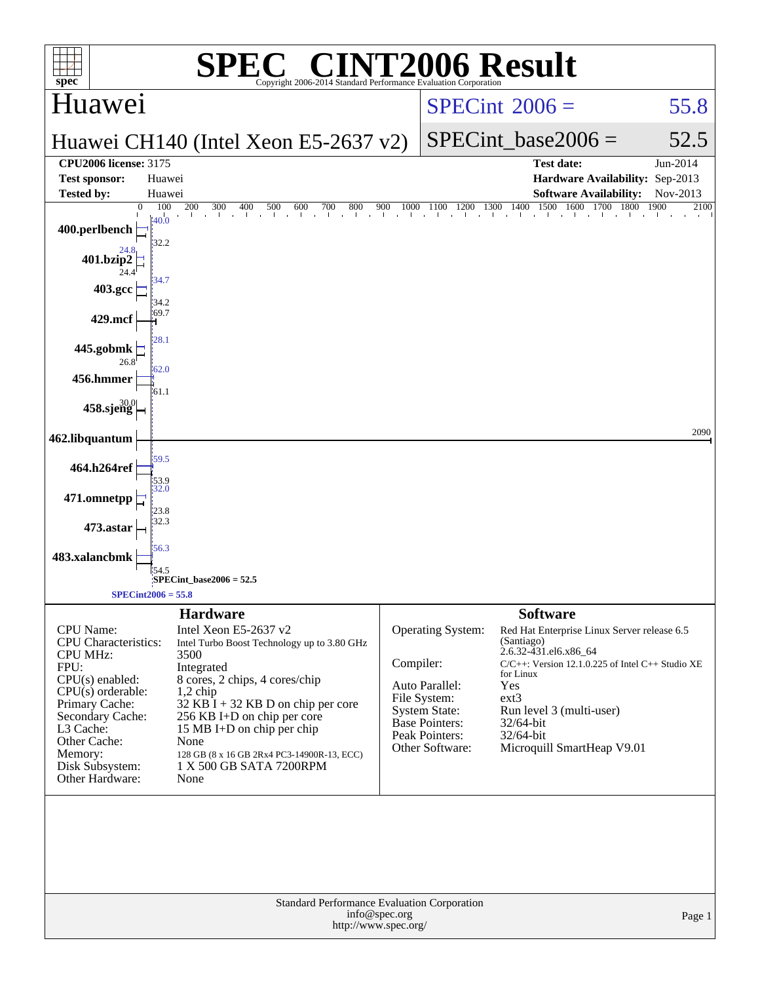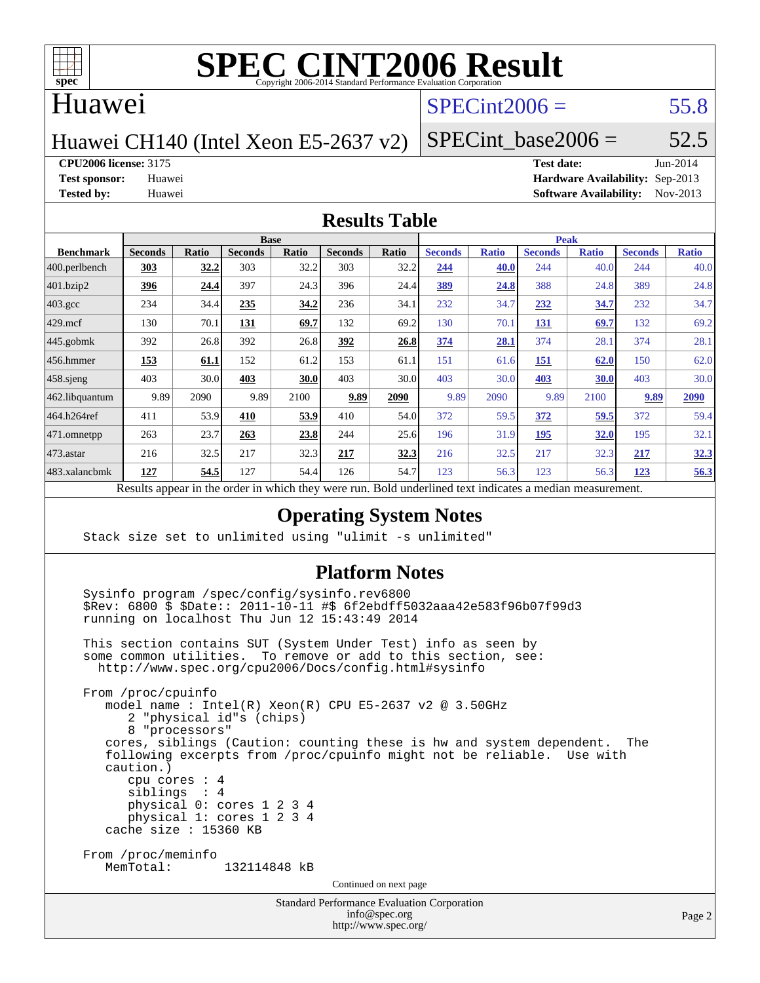

### Huawei

# $SPECint2006 = 55.8$  $SPECint2006 = 55.8$

Huawei CH140 (Intel Xeon E5-2637 v2)

SPECint base2006 =  $52.5$ 

**[CPU2006 license:](http://www.spec.org/auto/cpu2006/Docs/result-fields.html#CPU2006license)** 3175 **[Test date:](http://www.spec.org/auto/cpu2006/Docs/result-fields.html#Testdate)** Jun-2014

**[Test sponsor:](http://www.spec.org/auto/cpu2006/Docs/result-fields.html#Testsponsor)** Huawei **[Hardware Availability:](http://www.spec.org/auto/cpu2006/Docs/result-fields.html#HardwareAvailability)** Sep-2013 **[Tested by:](http://www.spec.org/auto/cpu2006/Docs/result-fields.html#Testedby)** Huawei **[Software Availability:](http://www.spec.org/auto/cpu2006/Docs/result-fields.html#SoftwareAvailability)** Nov-2013

#### **[Results Table](http://www.spec.org/auto/cpu2006/Docs/result-fields.html#ResultsTable)**

| <b>Base</b>    |       |                                        |       |                |       | <b>Peak</b>    |                    |                |                                                                                     |                |              |
|----------------|-------|----------------------------------------|-------|----------------|-------|----------------|--------------------|----------------|-------------------------------------------------------------------------------------|----------------|--------------|
| <b>Seconds</b> | Ratio | <b>Seconds</b>                         | Ratio | <b>Seconds</b> | Ratio | <b>Seconds</b> | <b>Ratio</b>       | <b>Seconds</b> | <b>Ratio</b>                                                                        | <b>Seconds</b> | <b>Ratio</b> |
| 303            | 32.2  | 303                                    | 32.2  | 303            | 32.2  | 244            | 40.0               | 244            | 40.0                                                                                | 244            | 40.0         |
| 396            | 24.4  | 397                                    | 24.3  | 396            | 24.4  | 389            | 24.8               | 388            | 24.8                                                                                | 389            | 24.8         |
| 234            | 34.4  | 235                                    | 34.2  | 236            | 34.1  | 232            | 34.7               | 232            | 34.7                                                                                | 232            | 34.7         |
| 130            | 70.1  | <b>131</b>                             | 69.7  | 132            | 69.2  | 130            | 70.1               | <u>131</u>     | 69.7                                                                                | 132            | 69.2         |
| 392            | 26.8  | 392                                    | 26.8  | 392            | 26.8  | 374            | 28.1               | 374            | 28.1                                                                                | 374            | 28.1         |
| 153            | 61.1  | 152                                    | 61.2  | 153            | 61.1  | 151            | 61.6               | 151            | 62.0                                                                                | 150            | 62.0         |
| 403            | 30.0  | 403                                    | 30.0  | 403            | 30.0  | 403            | 30.0               | 403            | 30.0                                                                                | 403            | 30.0         |
| 9.89           | 2090  | 9.89                                   | 2100  | 9.89           | 2090  | 9.89           | 2090               | 9.89           | 2100                                                                                | 9.89           | 2090         |
| 411            | 53.9  | 410                                    | 53.9  | 410            | 54.0  | 372            | 59.5               | 372            | 59.5                                                                                | 372            | 59.4         |
| 263            | 23.7  | 263                                    | 23.8  | 244            | 25.6  | 196            | 31.9               | 195            | 32.0                                                                                | 195            | 32.1         |
| 216            | 32.5  | 217                                    | 32.3  | 217            | 32.3  | 216            | 32.5               | 217            | 32.3                                                                                | 217            | 32.3         |
| 127            | 54.5  | 127                                    | 54.4  | 126            | 54.7  | 123            | 56.3               | 123            | 56.3                                                                                | 123            | 56.3         |
|                |       | $\mathbf{D}$ . $\mathbf{L}$<br>tur 21. |       |                |       |                | $-1.5 - 1.7 - 1.1$ |                | $D$ and $D$ and $D$ and $D$ and $D$ and $D$ and $D$ and $D$ and $D$<br>$\mathbf{A}$ |                |              |

Results appear in the [order in which they were run.](http://www.spec.org/auto/cpu2006/Docs/result-fields.html#RunOrder) Bold underlined text [indicates a median measurement.](http://www.spec.org/auto/cpu2006/Docs/result-fields.html#Median)

#### **[Operating System Notes](http://www.spec.org/auto/cpu2006/Docs/result-fields.html#OperatingSystemNotes)**

Stack size set to unlimited using "ulimit -s unlimited"

#### **[Platform Notes](http://www.spec.org/auto/cpu2006/Docs/result-fields.html#PlatformNotes)**

Standard Performance Evaluation Corporation Sysinfo program /spec/config/sysinfo.rev6800 \$Rev: 6800 \$ \$Date:: 2011-10-11 #\$ 6f2ebdff5032aaa42e583f96b07f99d3 running on localhost Thu Jun 12 15:43:49 2014 This section contains SUT (System Under Test) info as seen by some common utilities. To remove or add to this section, see: <http://www.spec.org/cpu2006/Docs/config.html#sysinfo> From /proc/cpuinfo model name : Intel(R) Xeon(R) CPU E5-2637 v2 @ 3.50GHz 2 "physical id"s (chips) 8 "processors" cores, siblings (Caution: counting these is hw and system dependent. The following excerpts from /proc/cpuinfo might not be reliable. Use with caution.) cpu cores : 4 siblings : 4 physical 0: cores 1 2 3 4 physical 1: cores 1 2 3 4 cache size : 15360 KB From /proc/meminfo MemTotal: 132114848 kB Continued on next page

[info@spec.org](mailto:info@spec.org) <http://www.spec.org/>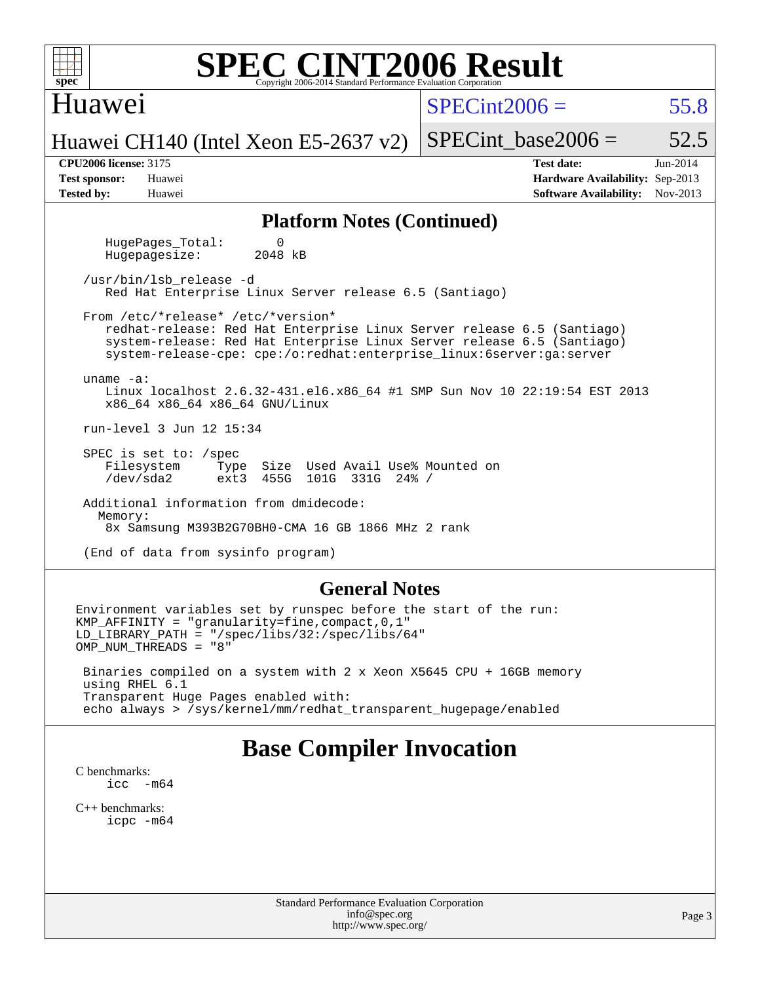| <b>SPEC CINT2006 Result</b><br>$spec^*$<br>Copyright 2006-2014 Standard Performance Evaluation Corporation                                                                                                                                                     |                                                                                                              |  |  |  |  |  |  |  |
|----------------------------------------------------------------------------------------------------------------------------------------------------------------------------------------------------------------------------------------------------------------|--------------------------------------------------------------------------------------------------------------|--|--|--|--|--|--|--|
| Huawei                                                                                                                                                                                                                                                         | $SPECint2006 =$<br>55.8                                                                                      |  |  |  |  |  |  |  |
| Huawei CH140 (Intel Xeon E5-2637 v2)                                                                                                                                                                                                                           | $SPECint\_base2006 =$<br>52.5                                                                                |  |  |  |  |  |  |  |
| <b>CPU2006</b> license: 3175<br><b>Test sponsor:</b><br>Huawei<br><b>Tested by:</b><br>Huawei                                                                                                                                                                  | <b>Test date:</b><br>$Jun-2014$<br>Hardware Availability: Sep-2013<br><b>Software Availability:</b> Nov-2013 |  |  |  |  |  |  |  |
| <b>Platform Notes (Continued)</b>                                                                                                                                                                                                                              |                                                                                                              |  |  |  |  |  |  |  |
| HugePages Total:<br>0<br>2048 kB<br>Hugepagesize:                                                                                                                                                                                                              |                                                                                                              |  |  |  |  |  |  |  |
| /usr/bin/lsb_release -d<br>Red Hat Enterprise Linux Server release 6.5 (Santiago)                                                                                                                                                                              |                                                                                                              |  |  |  |  |  |  |  |
| From /etc/*release* /etc/*version*<br>redhat-release: Red Hat Enterprise Linux Server release 6.5 (Santiago)<br>system-release: Red Hat Enterprise Linux Server release 6.5 (Santiago)<br>system-release-cpe: cpe:/o:redhat:enterprise_linux:6server:ga:server |                                                                                                              |  |  |  |  |  |  |  |
| uname $-a$ :<br>Linux localhost 2.6.32-431.el6.x86_64 #1 SMP Sun Nov 10 22:19:54 EST 2013<br>x86_64 x86_64 x86_64 GNU/Linux                                                                                                                                    |                                                                                                              |  |  |  |  |  |  |  |
| run-level 3 Jun 12 15:34                                                                                                                                                                                                                                       |                                                                                                              |  |  |  |  |  |  |  |
| SPEC is set to: $/$ spec<br>Filesystem<br>Type Size Used Avail Use% Mounted on<br>/dev/sda2<br>ext3 455G 101G 331G 24% /                                                                                                                                       |                                                                                                              |  |  |  |  |  |  |  |
| Additional information from dmidecode:<br>Memory:<br>8x Samsung M393B2G70BH0-CMA 16 GB 1866 MHz 2 rank                                                                                                                                                         |                                                                                                              |  |  |  |  |  |  |  |
| (End of data from sysinfo program)                                                                                                                                                                                                                             |                                                                                                              |  |  |  |  |  |  |  |
| <b>General Notes</b>                                                                                                                                                                                                                                           |                                                                                                              |  |  |  |  |  |  |  |
| Environment variables set by runspec before the start of the run:<br>$KMP_A$ FFINITY = "granularity=fine, compact, 0, 1"<br>$LD_LIBRARY_PATH = "/gpec/libs/32://spec/libs/64"$<br>OMP NUM THREADS = "8"                                                        |                                                                                                              |  |  |  |  |  |  |  |

 Binaries compiled on a system with 2 x Xeon X5645 CPU + 16GB memory using RHEL 6.1 Transparent Huge Pages enabled with: echo always > /sys/kernel/mm/redhat\_transparent\_hugepage/enabled

# **[Base Compiler Invocation](http://www.spec.org/auto/cpu2006/Docs/result-fields.html#BaseCompilerInvocation)**

[C benchmarks](http://www.spec.org/auto/cpu2006/Docs/result-fields.html#Cbenchmarks): [icc -m64](http://www.spec.org/cpu2006/results/res2014q3/cpu2006-20140619-29970.flags.html#user_CCbase_intel_icc_64bit_f346026e86af2a669e726fe758c88044)

[C++ benchmarks:](http://www.spec.org/auto/cpu2006/Docs/result-fields.html#CXXbenchmarks) [icpc -m64](http://www.spec.org/cpu2006/results/res2014q3/cpu2006-20140619-29970.flags.html#user_CXXbase_intel_icpc_64bit_fc66a5337ce925472a5c54ad6a0de310)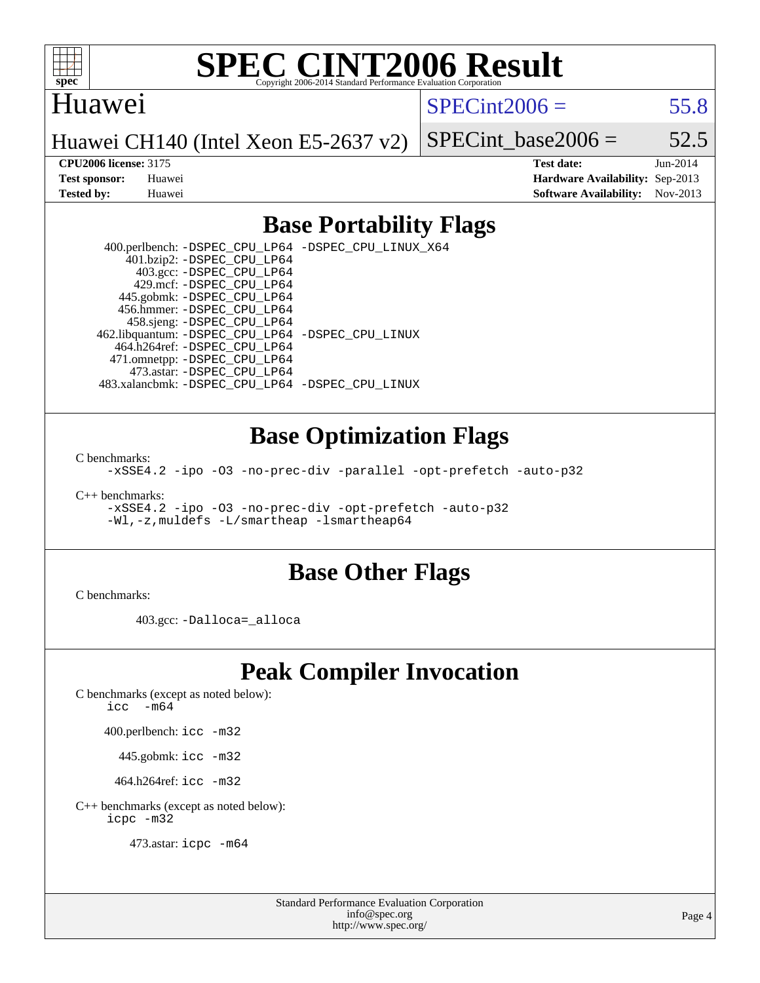

### Huawei

 $SPECint2006 = 55.8$  $SPECint2006 = 55.8$ 

Huawei CH140 (Intel Xeon E5-2637 v2)

SPECint base2006 =  $52.5$ **[CPU2006 license:](http://www.spec.org/auto/cpu2006/Docs/result-fields.html#CPU2006license)** 3175 **[Test date:](http://www.spec.org/auto/cpu2006/Docs/result-fields.html#Testdate)** Jun-2014

**[Test sponsor:](http://www.spec.org/auto/cpu2006/Docs/result-fields.html#Testsponsor)** Huawei **[Hardware Availability:](http://www.spec.org/auto/cpu2006/Docs/result-fields.html#HardwareAvailability)** Sep-2013 **[Tested by:](http://www.spec.org/auto/cpu2006/Docs/result-fields.html#Testedby)** Huawei **[Software Availability:](http://www.spec.org/auto/cpu2006/Docs/result-fields.html#SoftwareAvailability)** Nov-2013

### **[Base Portability Flags](http://www.spec.org/auto/cpu2006/Docs/result-fields.html#BasePortabilityFlags)**

 400.perlbench: [-DSPEC\\_CPU\\_LP64](http://www.spec.org/cpu2006/results/res2014q3/cpu2006-20140619-29970.flags.html#b400.perlbench_basePORTABILITY_DSPEC_CPU_LP64) [-DSPEC\\_CPU\\_LINUX\\_X64](http://www.spec.org/cpu2006/results/res2014q3/cpu2006-20140619-29970.flags.html#b400.perlbench_baseCPORTABILITY_DSPEC_CPU_LINUX_X64) 401.bzip2: [-DSPEC\\_CPU\\_LP64](http://www.spec.org/cpu2006/results/res2014q3/cpu2006-20140619-29970.flags.html#suite_basePORTABILITY401_bzip2_DSPEC_CPU_LP64) 403.gcc: [-DSPEC\\_CPU\\_LP64](http://www.spec.org/cpu2006/results/res2014q3/cpu2006-20140619-29970.flags.html#suite_basePORTABILITY403_gcc_DSPEC_CPU_LP64) 429.mcf: [-DSPEC\\_CPU\\_LP64](http://www.spec.org/cpu2006/results/res2014q3/cpu2006-20140619-29970.flags.html#suite_basePORTABILITY429_mcf_DSPEC_CPU_LP64) 445.gobmk: [-DSPEC\\_CPU\\_LP64](http://www.spec.org/cpu2006/results/res2014q3/cpu2006-20140619-29970.flags.html#suite_basePORTABILITY445_gobmk_DSPEC_CPU_LP64) 456.hmmer: [-DSPEC\\_CPU\\_LP64](http://www.spec.org/cpu2006/results/res2014q3/cpu2006-20140619-29970.flags.html#suite_basePORTABILITY456_hmmer_DSPEC_CPU_LP64) 458.sjeng: [-DSPEC\\_CPU\\_LP64](http://www.spec.org/cpu2006/results/res2014q3/cpu2006-20140619-29970.flags.html#suite_basePORTABILITY458_sjeng_DSPEC_CPU_LP64) 462.libquantum: [-DSPEC\\_CPU\\_LP64](http://www.spec.org/cpu2006/results/res2014q3/cpu2006-20140619-29970.flags.html#suite_basePORTABILITY462_libquantum_DSPEC_CPU_LP64) [-DSPEC\\_CPU\\_LINUX](http://www.spec.org/cpu2006/results/res2014q3/cpu2006-20140619-29970.flags.html#b462.libquantum_baseCPORTABILITY_DSPEC_CPU_LINUX) 464.h264ref: [-DSPEC\\_CPU\\_LP64](http://www.spec.org/cpu2006/results/res2014q3/cpu2006-20140619-29970.flags.html#suite_basePORTABILITY464_h264ref_DSPEC_CPU_LP64) 471.omnetpp: [-DSPEC\\_CPU\\_LP64](http://www.spec.org/cpu2006/results/res2014q3/cpu2006-20140619-29970.flags.html#suite_basePORTABILITY471_omnetpp_DSPEC_CPU_LP64) 473.astar: [-DSPEC\\_CPU\\_LP64](http://www.spec.org/cpu2006/results/res2014q3/cpu2006-20140619-29970.flags.html#suite_basePORTABILITY473_astar_DSPEC_CPU_LP64) 483.xalancbmk: [-DSPEC\\_CPU\\_LP64](http://www.spec.org/cpu2006/results/res2014q3/cpu2006-20140619-29970.flags.html#suite_basePORTABILITY483_xalancbmk_DSPEC_CPU_LP64) [-DSPEC\\_CPU\\_LINUX](http://www.spec.org/cpu2006/results/res2014q3/cpu2006-20140619-29970.flags.html#b483.xalancbmk_baseCXXPORTABILITY_DSPEC_CPU_LINUX)

### **[Base Optimization Flags](http://www.spec.org/auto/cpu2006/Docs/result-fields.html#BaseOptimizationFlags)**

[C benchmarks](http://www.spec.org/auto/cpu2006/Docs/result-fields.html#Cbenchmarks):

[-xSSE4.2](http://www.spec.org/cpu2006/results/res2014q3/cpu2006-20140619-29970.flags.html#user_CCbase_f-xSSE42_f91528193cf0b216347adb8b939d4107) [-ipo](http://www.spec.org/cpu2006/results/res2014q3/cpu2006-20140619-29970.flags.html#user_CCbase_f-ipo) [-O3](http://www.spec.org/cpu2006/results/res2014q3/cpu2006-20140619-29970.flags.html#user_CCbase_f-O3) [-no-prec-div](http://www.spec.org/cpu2006/results/res2014q3/cpu2006-20140619-29970.flags.html#user_CCbase_f-no-prec-div) [-parallel](http://www.spec.org/cpu2006/results/res2014q3/cpu2006-20140619-29970.flags.html#user_CCbase_f-parallel) [-opt-prefetch](http://www.spec.org/cpu2006/results/res2014q3/cpu2006-20140619-29970.flags.html#user_CCbase_f-opt-prefetch) [-auto-p32](http://www.spec.org/cpu2006/results/res2014q3/cpu2006-20140619-29970.flags.html#user_CCbase_f-auto-p32)

[C++ benchmarks:](http://www.spec.org/auto/cpu2006/Docs/result-fields.html#CXXbenchmarks)

[-xSSE4.2](http://www.spec.org/cpu2006/results/res2014q3/cpu2006-20140619-29970.flags.html#user_CXXbase_f-xSSE42_f91528193cf0b216347adb8b939d4107) [-ipo](http://www.spec.org/cpu2006/results/res2014q3/cpu2006-20140619-29970.flags.html#user_CXXbase_f-ipo) [-O3](http://www.spec.org/cpu2006/results/res2014q3/cpu2006-20140619-29970.flags.html#user_CXXbase_f-O3) [-no-prec-div](http://www.spec.org/cpu2006/results/res2014q3/cpu2006-20140619-29970.flags.html#user_CXXbase_f-no-prec-div) [-opt-prefetch](http://www.spec.org/cpu2006/results/res2014q3/cpu2006-20140619-29970.flags.html#user_CXXbase_f-opt-prefetch) [-auto-p32](http://www.spec.org/cpu2006/results/res2014q3/cpu2006-20140619-29970.flags.html#user_CXXbase_f-auto-p32) [-Wl,-z,muldefs](http://www.spec.org/cpu2006/results/res2014q3/cpu2006-20140619-29970.flags.html#user_CXXbase_link_force_multiple1_74079c344b956b9658436fd1b6dd3a8a) [-L/smartheap -lsmartheap64](http://www.spec.org/cpu2006/results/res2014q3/cpu2006-20140619-29970.flags.html#user_CXXbase_SmartHeap64_5e654037dadeae1fe403ab4b4466e60b)

#### **[Base Other Flags](http://www.spec.org/auto/cpu2006/Docs/result-fields.html#BaseOtherFlags)**

[C benchmarks](http://www.spec.org/auto/cpu2006/Docs/result-fields.html#Cbenchmarks):

403.gcc: [-Dalloca=\\_alloca](http://www.spec.org/cpu2006/results/res2014q3/cpu2006-20140619-29970.flags.html#b403.gcc_baseEXTRA_CFLAGS_Dalloca_be3056838c12de2578596ca5467af7f3)

# **[Peak Compiler Invocation](http://www.spec.org/auto/cpu2006/Docs/result-fields.html#PeakCompilerInvocation)**

[C benchmarks \(except as noted below\)](http://www.spec.org/auto/cpu2006/Docs/result-fields.html#Cbenchmarksexceptasnotedbelow):

icc  $-m64$ 

400.perlbench: [icc -m32](http://www.spec.org/cpu2006/results/res2014q3/cpu2006-20140619-29970.flags.html#user_peakCCLD400_perlbench_intel_icc_a6a621f8d50482236b970c6ac5f55f93)

445.gobmk: [icc -m32](http://www.spec.org/cpu2006/results/res2014q3/cpu2006-20140619-29970.flags.html#user_peakCCLD445_gobmk_intel_icc_a6a621f8d50482236b970c6ac5f55f93)

464.h264ref: [icc -m32](http://www.spec.org/cpu2006/results/res2014q3/cpu2006-20140619-29970.flags.html#user_peakCCLD464_h264ref_intel_icc_a6a621f8d50482236b970c6ac5f55f93)

[C++ benchmarks \(except as noted below\):](http://www.spec.org/auto/cpu2006/Docs/result-fields.html#CXXbenchmarksexceptasnotedbelow) [icpc -m32](http://www.spec.org/cpu2006/results/res2014q3/cpu2006-20140619-29970.flags.html#user_CXXpeak_intel_icpc_4e5a5ef1a53fd332b3c49e69c3330699)

473.astar: [icpc -m64](http://www.spec.org/cpu2006/results/res2014q3/cpu2006-20140619-29970.flags.html#user_peakCXXLD473_astar_intel_icpc_64bit_fc66a5337ce925472a5c54ad6a0de310)

Standard Performance Evaluation Corporation [info@spec.org](mailto:info@spec.org) <http://www.spec.org/>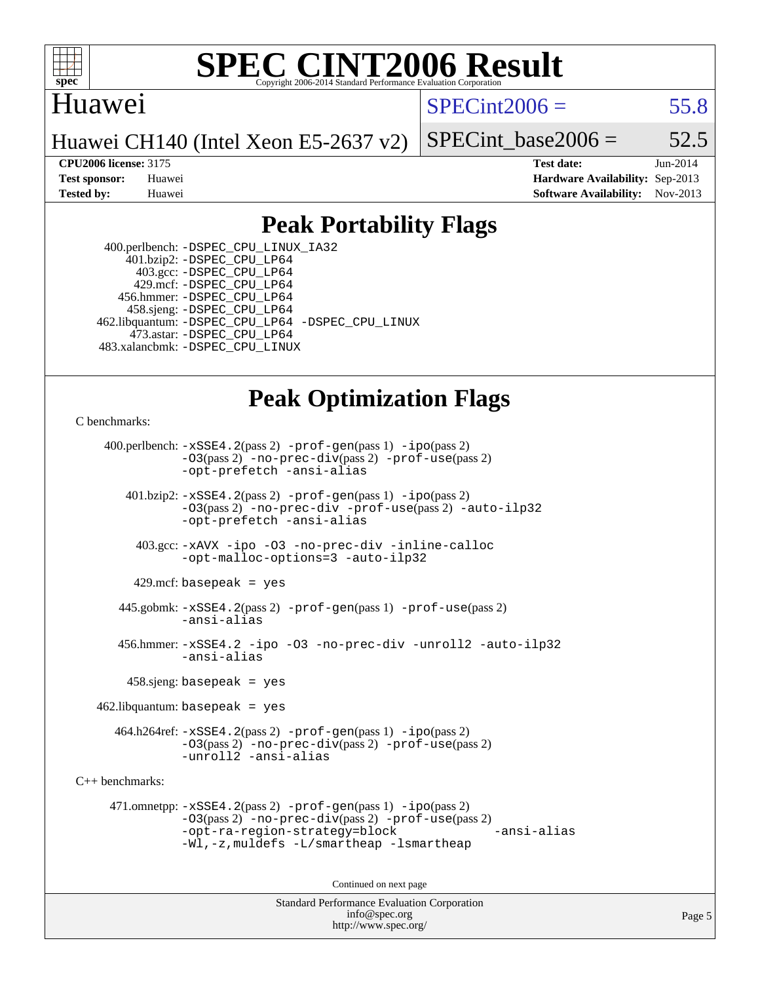

# Huawei

 $SPECint2006 = 55.8$  $SPECint2006 = 55.8$ 

Huawei CH140 (Intel Xeon E5-2637 v2)

SPECint base2006 =  $52.5$ 

**[CPU2006 license:](http://www.spec.org/auto/cpu2006/Docs/result-fields.html#CPU2006license)** 3175 **[Test date:](http://www.spec.org/auto/cpu2006/Docs/result-fields.html#Testdate)** Jun-2014 **[Test sponsor:](http://www.spec.org/auto/cpu2006/Docs/result-fields.html#Testsponsor)** Huawei **[Hardware Availability:](http://www.spec.org/auto/cpu2006/Docs/result-fields.html#HardwareAvailability)** Sep-2013 **[Tested by:](http://www.spec.org/auto/cpu2006/Docs/result-fields.html#Testedby)** Huawei **[Software Availability:](http://www.spec.org/auto/cpu2006/Docs/result-fields.html#SoftwareAvailability)** Nov-2013

# **[Peak Portability Flags](http://www.spec.org/auto/cpu2006/Docs/result-fields.html#PeakPortabilityFlags)**

 400.perlbench: [-DSPEC\\_CPU\\_LINUX\\_IA32](http://www.spec.org/cpu2006/results/res2014q3/cpu2006-20140619-29970.flags.html#b400.perlbench_peakCPORTABILITY_DSPEC_CPU_LINUX_IA32) 401.bzip2: [-DSPEC\\_CPU\\_LP64](http://www.spec.org/cpu2006/results/res2014q3/cpu2006-20140619-29970.flags.html#suite_peakPORTABILITY401_bzip2_DSPEC_CPU_LP64) 403.gcc: [-DSPEC\\_CPU\\_LP64](http://www.spec.org/cpu2006/results/res2014q3/cpu2006-20140619-29970.flags.html#suite_peakPORTABILITY403_gcc_DSPEC_CPU_LP64) 429.mcf: [-DSPEC\\_CPU\\_LP64](http://www.spec.org/cpu2006/results/res2014q3/cpu2006-20140619-29970.flags.html#suite_peakPORTABILITY429_mcf_DSPEC_CPU_LP64) 456.hmmer: [-DSPEC\\_CPU\\_LP64](http://www.spec.org/cpu2006/results/res2014q3/cpu2006-20140619-29970.flags.html#suite_peakPORTABILITY456_hmmer_DSPEC_CPU_LP64) 458.sjeng: [-DSPEC\\_CPU\\_LP64](http://www.spec.org/cpu2006/results/res2014q3/cpu2006-20140619-29970.flags.html#suite_peakPORTABILITY458_sjeng_DSPEC_CPU_LP64) 462.libquantum: [-DSPEC\\_CPU\\_LP64](http://www.spec.org/cpu2006/results/res2014q3/cpu2006-20140619-29970.flags.html#suite_peakPORTABILITY462_libquantum_DSPEC_CPU_LP64) [-DSPEC\\_CPU\\_LINUX](http://www.spec.org/cpu2006/results/res2014q3/cpu2006-20140619-29970.flags.html#b462.libquantum_peakCPORTABILITY_DSPEC_CPU_LINUX) 473.astar: [-DSPEC\\_CPU\\_LP64](http://www.spec.org/cpu2006/results/res2014q3/cpu2006-20140619-29970.flags.html#suite_peakPORTABILITY473_astar_DSPEC_CPU_LP64) 483.xalancbmk: [-DSPEC\\_CPU\\_LINUX](http://www.spec.org/cpu2006/results/res2014q3/cpu2006-20140619-29970.flags.html#b483.xalancbmk_peakCXXPORTABILITY_DSPEC_CPU_LINUX)

# **[Peak Optimization Flags](http://www.spec.org/auto/cpu2006/Docs/result-fields.html#PeakOptimizationFlags)**

[C benchmarks](http://www.spec.org/auto/cpu2006/Docs/result-fields.html#Cbenchmarks):

 400.perlbench: [-xSSE4.2](http://www.spec.org/cpu2006/results/res2014q3/cpu2006-20140619-29970.flags.html#user_peakPASS2_CFLAGSPASS2_LDCFLAGS400_perlbench_f-xSSE42_f91528193cf0b216347adb8b939d4107)(pass 2) [-prof-gen](http://www.spec.org/cpu2006/results/res2014q3/cpu2006-20140619-29970.flags.html#user_peakPASS1_CFLAGSPASS1_LDCFLAGS400_perlbench_prof_gen_e43856698f6ca7b7e442dfd80e94a8fc)(pass 1) [-ipo](http://www.spec.org/cpu2006/results/res2014q3/cpu2006-20140619-29970.flags.html#user_peakPASS2_CFLAGSPASS2_LDCFLAGS400_perlbench_f-ipo)(pass 2) [-O3](http://www.spec.org/cpu2006/results/res2014q3/cpu2006-20140619-29970.flags.html#user_peakPASS2_CFLAGSPASS2_LDCFLAGS400_perlbench_f-O3)(pass 2) [-no-prec-div](http://www.spec.org/cpu2006/results/res2014q3/cpu2006-20140619-29970.flags.html#user_peakPASS2_CFLAGSPASS2_LDCFLAGS400_perlbench_f-no-prec-div)(pass 2) [-prof-use](http://www.spec.org/cpu2006/results/res2014q3/cpu2006-20140619-29970.flags.html#user_peakPASS2_CFLAGSPASS2_LDCFLAGS400_perlbench_prof_use_bccf7792157ff70d64e32fe3e1250b55)(pass 2) [-opt-prefetch](http://www.spec.org/cpu2006/results/res2014q3/cpu2006-20140619-29970.flags.html#user_peakCOPTIMIZE400_perlbench_f-opt-prefetch) [-ansi-alias](http://www.spec.org/cpu2006/results/res2014q3/cpu2006-20140619-29970.flags.html#user_peakCOPTIMIZE400_perlbench_f-ansi-alias) 401.bzip2: [-xSSE4.2](http://www.spec.org/cpu2006/results/res2014q3/cpu2006-20140619-29970.flags.html#user_peakPASS2_CFLAGSPASS2_LDCFLAGS401_bzip2_f-xSSE42_f91528193cf0b216347adb8b939d4107)(pass 2) [-prof-gen](http://www.spec.org/cpu2006/results/res2014q3/cpu2006-20140619-29970.flags.html#user_peakPASS1_CFLAGSPASS1_LDCFLAGS401_bzip2_prof_gen_e43856698f6ca7b7e442dfd80e94a8fc)(pass 1) [-ipo](http://www.spec.org/cpu2006/results/res2014q3/cpu2006-20140619-29970.flags.html#user_peakPASS2_CFLAGSPASS2_LDCFLAGS401_bzip2_f-ipo)(pass 2) [-O3](http://www.spec.org/cpu2006/results/res2014q3/cpu2006-20140619-29970.flags.html#user_peakPASS2_CFLAGSPASS2_LDCFLAGS401_bzip2_f-O3)(pass 2) [-no-prec-div](http://www.spec.org/cpu2006/results/res2014q3/cpu2006-20140619-29970.flags.html#user_peakCOPTIMIZEPASS2_CFLAGSPASS2_LDCFLAGS401_bzip2_f-no-prec-div) [-prof-use](http://www.spec.org/cpu2006/results/res2014q3/cpu2006-20140619-29970.flags.html#user_peakPASS2_CFLAGSPASS2_LDCFLAGS401_bzip2_prof_use_bccf7792157ff70d64e32fe3e1250b55)(pass 2) [-auto-ilp32](http://www.spec.org/cpu2006/results/res2014q3/cpu2006-20140619-29970.flags.html#user_peakCOPTIMIZE401_bzip2_f-auto-ilp32) [-opt-prefetch](http://www.spec.org/cpu2006/results/res2014q3/cpu2006-20140619-29970.flags.html#user_peakCOPTIMIZE401_bzip2_f-opt-prefetch) [-ansi-alias](http://www.spec.org/cpu2006/results/res2014q3/cpu2006-20140619-29970.flags.html#user_peakCOPTIMIZE401_bzip2_f-ansi-alias) 403.gcc: [-xAVX](http://www.spec.org/cpu2006/results/res2014q3/cpu2006-20140619-29970.flags.html#user_peakCOPTIMIZE403_gcc_f-xAVX) [-ipo](http://www.spec.org/cpu2006/results/res2014q3/cpu2006-20140619-29970.flags.html#user_peakCOPTIMIZE403_gcc_f-ipo) [-O3](http://www.spec.org/cpu2006/results/res2014q3/cpu2006-20140619-29970.flags.html#user_peakCOPTIMIZE403_gcc_f-O3) [-no-prec-div](http://www.spec.org/cpu2006/results/res2014q3/cpu2006-20140619-29970.flags.html#user_peakCOPTIMIZE403_gcc_f-no-prec-div) [-inline-calloc](http://www.spec.org/cpu2006/results/res2014q3/cpu2006-20140619-29970.flags.html#user_peakCOPTIMIZE403_gcc_f-inline-calloc) [-opt-malloc-options=3](http://www.spec.org/cpu2006/results/res2014q3/cpu2006-20140619-29970.flags.html#user_peakCOPTIMIZE403_gcc_f-opt-malloc-options_13ab9b803cf986b4ee62f0a5998c2238) [-auto-ilp32](http://www.spec.org/cpu2006/results/res2014q3/cpu2006-20140619-29970.flags.html#user_peakCOPTIMIZE403_gcc_f-auto-ilp32)  $429$ .mcf: basepeak = yes 445.gobmk: [-xSSE4.2](http://www.spec.org/cpu2006/results/res2014q3/cpu2006-20140619-29970.flags.html#user_peakPASS2_CFLAGSPASS2_LDCFLAGS445_gobmk_f-xSSE42_f91528193cf0b216347adb8b939d4107)(pass 2) [-prof-gen](http://www.spec.org/cpu2006/results/res2014q3/cpu2006-20140619-29970.flags.html#user_peakPASS1_CFLAGSPASS1_LDCFLAGS445_gobmk_prof_gen_e43856698f6ca7b7e442dfd80e94a8fc)(pass 1) [-prof-use](http://www.spec.org/cpu2006/results/res2014q3/cpu2006-20140619-29970.flags.html#user_peakPASS2_CFLAGSPASS2_LDCFLAGS445_gobmk_prof_use_bccf7792157ff70d64e32fe3e1250b55)(pass 2) [-ansi-alias](http://www.spec.org/cpu2006/results/res2014q3/cpu2006-20140619-29970.flags.html#user_peakCOPTIMIZE445_gobmk_f-ansi-alias) 456.hmmer: [-xSSE4.2](http://www.spec.org/cpu2006/results/res2014q3/cpu2006-20140619-29970.flags.html#user_peakCOPTIMIZE456_hmmer_f-xSSE42_f91528193cf0b216347adb8b939d4107) [-ipo](http://www.spec.org/cpu2006/results/res2014q3/cpu2006-20140619-29970.flags.html#user_peakCOPTIMIZE456_hmmer_f-ipo) [-O3](http://www.spec.org/cpu2006/results/res2014q3/cpu2006-20140619-29970.flags.html#user_peakCOPTIMIZE456_hmmer_f-O3) [-no-prec-div](http://www.spec.org/cpu2006/results/res2014q3/cpu2006-20140619-29970.flags.html#user_peakCOPTIMIZE456_hmmer_f-no-prec-div) [-unroll2](http://www.spec.org/cpu2006/results/res2014q3/cpu2006-20140619-29970.flags.html#user_peakCOPTIMIZE456_hmmer_f-unroll_784dae83bebfb236979b41d2422d7ec2) [-auto-ilp32](http://www.spec.org/cpu2006/results/res2014q3/cpu2006-20140619-29970.flags.html#user_peakCOPTIMIZE456_hmmer_f-auto-ilp32) [-ansi-alias](http://www.spec.org/cpu2006/results/res2014q3/cpu2006-20140619-29970.flags.html#user_peakCOPTIMIZE456_hmmer_f-ansi-alias) 458.sjeng: basepeak = yes  $462$ .libquantum: basepeak = yes 464.h264ref: [-xSSE4.2](http://www.spec.org/cpu2006/results/res2014q3/cpu2006-20140619-29970.flags.html#user_peakPASS2_CFLAGSPASS2_LDCFLAGS464_h264ref_f-xSSE42_f91528193cf0b216347adb8b939d4107)(pass 2) [-prof-gen](http://www.spec.org/cpu2006/results/res2014q3/cpu2006-20140619-29970.flags.html#user_peakPASS1_CFLAGSPASS1_LDCFLAGS464_h264ref_prof_gen_e43856698f6ca7b7e442dfd80e94a8fc)(pass 1) [-ipo](http://www.spec.org/cpu2006/results/res2014q3/cpu2006-20140619-29970.flags.html#user_peakPASS2_CFLAGSPASS2_LDCFLAGS464_h264ref_f-ipo)(pass 2) [-O3](http://www.spec.org/cpu2006/results/res2014q3/cpu2006-20140619-29970.flags.html#user_peakPASS2_CFLAGSPASS2_LDCFLAGS464_h264ref_f-O3)(pass 2) [-no-prec-div](http://www.spec.org/cpu2006/results/res2014q3/cpu2006-20140619-29970.flags.html#user_peakPASS2_CFLAGSPASS2_LDCFLAGS464_h264ref_f-no-prec-div)(pass 2) [-prof-use](http://www.spec.org/cpu2006/results/res2014q3/cpu2006-20140619-29970.flags.html#user_peakPASS2_CFLAGSPASS2_LDCFLAGS464_h264ref_prof_use_bccf7792157ff70d64e32fe3e1250b55)(pass 2) [-unroll2](http://www.spec.org/cpu2006/results/res2014q3/cpu2006-20140619-29970.flags.html#user_peakCOPTIMIZE464_h264ref_f-unroll_784dae83bebfb236979b41d2422d7ec2) [-ansi-alias](http://www.spec.org/cpu2006/results/res2014q3/cpu2006-20140619-29970.flags.html#user_peakCOPTIMIZE464_h264ref_f-ansi-alias) [C++ benchmarks:](http://www.spec.org/auto/cpu2006/Docs/result-fields.html#CXXbenchmarks) 471.omnetpp: [-xSSE4.2](http://www.spec.org/cpu2006/results/res2014q3/cpu2006-20140619-29970.flags.html#user_peakPASS2_CXXFLAGSPASS2_LDCXXFLAGS471_omnetpp_f-xSSE42_f91528193cf0b216347adb8b939d4107)(pass 2) [-prof-gen](http://www.spec.org/cpu2006/results/res2014q3/cpu2006-20140619-29970.flags.html#user_peakPASS1_CXXFLAGSPASS1_LDCXXFLAGS471_omnetpp_prof_gen_e43856698f6ca7b7e442dfd80e94a8fc)(pass 1) [-ipo](http://www.spec.org/cpu2006/results/res2014q3/cpu2006-20140619-29970.flags.html#user_peakPASS2_CXXFLAGSPASS2_LDCXXFLAGS471_omnetpp_f-ipo)(pass 2) [-O3](http://www.spec.org/cpu2006/results/res2014q3/cpu2006-20140619-29970.flags.html#user_peakPASS2_CXXFLAGSPASS2_LDCXXFLAGS471_omnetpp_f-O3)(pass 2) [-no-prec-div](http://www.spec.org/cpu2006/results/res2014q3/cpu2006-20140619-29970.flags.html#user_peakPASS2_CXXFLAGSPASS2_LDCXXFLAGS471_omnetpp_f-no-prec-div)(pass 2) [-prof-use](http://www.spec.org/cpu2006/results/res2014q3/cpu2006-20140619-29970.flags.html#user_peakPASS2_CXXFLAGSPASS2_LDCXXFLAGS471_omnetpp_prof_use_bccf7792157ff70d64e32fe3e1250b55)(pass 2) [-opt-ra-region-strategy=block](http://www.spec.org/cpu2006/results/res2014q3/cpu2006-20140619-29970.flags.html#user_peakCXXOPTIMIZE471_omnetpp_f-opt-ra-region-strategy_5382940c29ea30302d682fc74bfe0147) [-ansi-alias](http://www.spec.org/cpu2006/results/res2014q3/cpu2006-20140619-29970.flags.html#user_peakCXXOPTIMIZE471_omnetpp_f-ansi-alias) [-Wl,-z,muldefs](http://www.spec.org/cpu2006/results/res2014q3/cpu2006-20140619-29970.flags.html#user_peakEXTRA_LDFLAGS471_omnetpp_link_force_multiple1_74079c344b956b9658436fd1b6dd3a8a) [-L/smartheap -lsmartheap](http://www.spec.org/cpu2006/results/res2014q3/cpu2006-20140619-29970.flags.html#user_peakEXTRA_LIBS471_omnetpp_SmartHeap_7c9e394a5779e1a7fec7c221e123830c) Continued on next page

> Standard Performance Evaluation Corporation [info@spec.org](mailto:info@spec.org) <http://www.spec.org/>